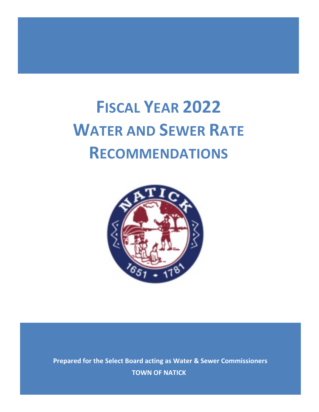# **FISCAL YEAR 2022 WATER AND SEWER RATE RECOMMENDATIONS**



**Prepared for the Select Board acting as Water & Sewer Commissioners TOWN OF NATICK**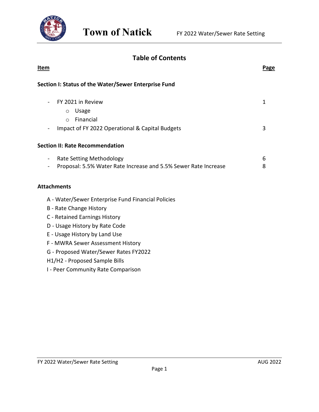

### **Table of Contents**

| <u>Item</u>                                                                                                                        | <b>Page</b> |
|------------------------------------------------------------------------------------------------------------------------------------|-------------|
| Section I: Status of the Water/Sewer Enterprise Fund                                                                               |             |
| FY 2021 in Review<br>Usage<br>$\circ$                                                                                              | $\mathbf 1$ |
| Financial<br>$\Omega$                                                                                                              |             |
| Impact of FY 2022 Operational & Capital Budgets                                                                                    | 3           |
| <b>Section II: Rate Recommendation</b>                                                                                             |             |
| <b>Rate Setting Methodology</b><br>$\qquad \qquad \blacksquare$<br>Proposal: 5.5% Water Rate Increase and 5.5% Sewer Rate Increase | 6<br>8      |
| <b>Attachments</b>                                                                                                                 |             |
| A - Water/Sewer Enterprise Fund Financial Policies                                                                                 |             |
| B - Rate Change History                                                                                                            |             |
| C - Retained Earnings History                                                                                                      |             |
| D - Usage History by Rate Code                                                                                                     |             |
| E - Usage History by Land Use                                                                                                      |             |
| F - MWRA Sewer Assessment History                                                                                                  |             |
| G - Proposed Water/Sewer Rates FY2022                                                                                              |             |
| H1/H2 - Proposed Sample Bills                                                                                                      |             |
| I - Peer Community Rate Comparison                                                                                                 |             |
|                                                                                                                                    |             |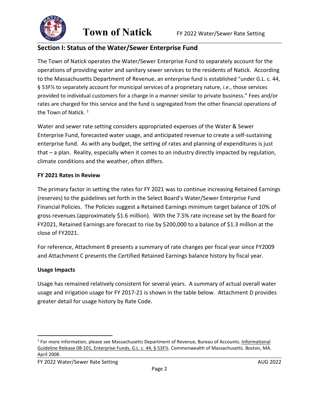

### **Section I: Status of the Water/Sewer Enterprise Fund**

The Town of Natick operates the Water/Sewer Enterprise Fund to separately account for the operations of providing water and sanitary sewer services to the residents of Natick. According to the Massachusetts Department of Revenue, an enterprise fund is established "under G.L. c. 44, § 53F½ to separately account for municipal services of a proprietary nature, *i.e*., those services provided to individual customers for a charge in a manner similar to private business." Fees and/or rates are charged for this service and the fund is segregated from the other financial operations of the Town of Natick.<sup>1</sup>

Water and sewer rate setting considers appropriated expenses of the Water & Sewer Enterprise Fund, forecasted water usage, and anticipated revenue to create a self-sustaining enterprise fund. As with any budget, the setting of rates and planning of expenditures is just that – a plan. Reality, especially when it comes to an industry directly impacted by regulation, climate conditions and the weather, often differs.

#### **FY 2021 Rates in Review**

The primary factor in setting the rates for FY 2021 was to continue increasing Retained Earnings (reserves) to the guidelines set forth in the Select Board's Water/Sewer Enterprise Fund Financial Policies. The Policies suggest a Retained Earnings minimum target balance of 10% of gross revenues (approximately \$1.6 million). With the 7.5% rate increase set by the Board for FY2021, Retained Earnings are forecast to rise by \$200,000 to a balance of \$1.3 million at the close of FY2021.

For reference, Attachment B presents a summary of rate changes per fiscal year since FY2009 and Attachment C presents the Certified Retained Earnings balance history by fiscal year.

#### **Usage Impacts**

Usage has remained relatively consistent for several years. A summary of actual overall water usage and irrigation usage for FY 2017-21 is shown in the table below. Attachment D provides greater detail for usage history by Rate Code.

<span id="page-2-0"></span><sup>&</sup>lt;sup>1</sup> For more information, please see Massachusetts Department of Revenue, Bureau of Accounts. Informational Guideline Release 08-101, Enterprise Funds, G.L. c. 44, § 53F½. Commonwealth of Massachusetts. Boston, MA. April 2008.

FY 2022 Water/Sewer Rate Setting AUG 2022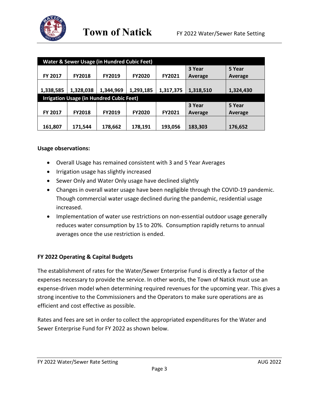

|                |               | Water & Sewer Usage (in Hundred Cubic Feet)     |               |               |           |           |
|----------------|---------------|-------------------------------------------------|---------------|---------------|-----------|-----------|
|                |               |                                                 |               |               | 3 Year    | 5 Year    |
| <b>FY 2017</b> | <b>FY2018</b> | FY2019                                          | <b>FY2020</b> | <b>FY2021</b> | Average   | Average   |
|                |               |                                                 |               |               |           |           |
| 1,338,585      | 1,328,038     | 1,344,969                                       | 1,293,185     | 1,317,375     | 1,318,510 | 1,324,430 |
|                |               | <b>Irrigation Usage (in Hundred Cubic Feet)</b> |               |               |           |           |
|                |               |                                                 |               |               | 3 Year    | 5 Year    |
| <b>FY 2017</b> | <b>FY2018</b> | FY2019                                          | <b>FY2020</b> | FY2021        | Average   | Average   |
|                |               |                                                 |               |               |           |           |
| 161,807        | 171,544       | 178,662                                         | 178,191       | 193,056       | 183,303   | 176,652   |

#### **Usage observations:**

- Overall Usage has remained consistent with 3 and 5 Year Averages
- Irrigation usage has slightly increased
- Sewer Only and Water Only usage have declined slightly
- Changes in overall water usage have been negligible through the COVID-19 pandemic. Though commercial water usage declined during the pandemic, residential usage increased.
- Implementation of water use restrictions on non-essential outdoor usage generally reduces water consumption by 15 to 20%. Consumption rapidly returns to annual averages once the use restriction is ended.

#### **FY 2022 Operating & Capital Budgets**

The establishment of rates for the Water/Sewer Enterprise Fund is directly a factor of the expenses necessary to provide the service. In other words, the Town of Natick must use an expense-driven model when determining required revenues for the upcoming year. This gives a strong incentive to the Commissioners and the Operators to make sure operations are as efficient and cost effective as possible.

Rates and fees are set in order to collect the appropriated expenditures for the Water and Sewer Enterprise Fund for FY 2022 as shown below.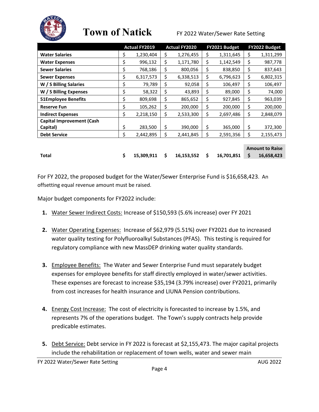

|                                  | <b>Actual FY2019</b> | <b>Actual FY2020</b> | FY2021 Budget    | FY2022 Budget          |
|----------------------------------|----------------------|----------------------|------------------|------------------------|
| <b>Water Salaries</b>            | \$<br>1,230,404      | \$<br>1,276,455      | \$<br>1,311,645  | \$<br>1,311,299        |
| <b>Water Expenses</b>            | \$<br>996,132        | \$<br>1,171,780      | \$<br>1,142,549  | \$<br>987,778          |
| <b>Sewer Salaries</b>            | \$<br>768,186        | \$<br>800,056        | \$<br>838,850    | \$<br>837,643          |
| <b>Sewer Expenses</b>            | \$<br>6,317,573      | \$<br>6,338,513      | \$<br>6,796,623  | \$<br>6,802,315        |
| W / S Billing Salaries           | \$<br>79,789         | \$<br>92,058         | \$<br>106,497    | \$<br>106,497          |
| W / S Billing Expenses           | \$<br>58,322         | \$<br>43,893         | \$<br>89,000     | \$<br>74,000           |
| <b>51Employee Benefits</b>       | \$<br>809,698        | \$<br>865,652        | \$<br>927,845    | \$<br>963,039          |
| <b>Reserve Fun</b>               | \$<br>105,262        | \$<br>200,000        | \$<br>200,000    | \$<br>200,000          |
| <b>Indirect Expenses</b>         | \$<br>2,218,150      | \$<br>2,533,300      | \$<br>2,697,486  | \$<br>2,848,079        |
| <b>Capital Improvement (Cash</b> |                      |                      |                  |                        |
| Capital)                         | \$<br>283,500        | \$<br>390,000        | \$<br>365,000    | \$<br>372,300          |
| <b>Debt Service</b>              | \$<br>2,442,895      | \$<br>2,441,845      | \$<br>2,591,356  | \$<br>2,155,473        |
|                                  |                      |                      |                  |                        |
|                                  |                      |                      |                  | <b>Amount to Raise</b> |
| <b>Total</b>                     | \$<br>15,309,911     | \$<br>16,153,552     | \$<br>16,701,851 | \$<br>16,658,423       |

For FY 2022, the proposed budget for the Water/Sewer Enterprise Fund is \$16,658,423. An offsetting equal revenue amount must be raised.

Major budget components for FY2022 include:

- **1.** Water Sewer Indirect Costs: Increase of \$150,593 (5.6% increase) over FY 2021
- **2.** Water Operating Expenses: Increase of \$62,979 (5.51%) over FY2021 due to increased water quality testing for Polyfluoroalkyl Substances (PFAS). This testing is required for regulatory compliance with new MassDEP drinking water quality standards.
- **3.** Employee Benefits: The Water and Sewer Enterprise Fund must separately budget expenses for employee benefits for staff directly employed in water/sewer activities. These expenses are forecast to increase \$35,194 (3.79% increase) over FY2021, primarily from cost increases for health insurance and LIUNA Pension contributions.
- **4.** Energy Cost Increase: The cost of electricity is forecasted to increase by 1.5%, and represents 7% of the operations budget. The Town's supply contracts help provide predicable estimates.
- **5.** Debt Service: Debt service in FY 2022 is forecast at \$2,155,473. The major capital projects include the rehabilitation or replacement of town wells, water and sewer main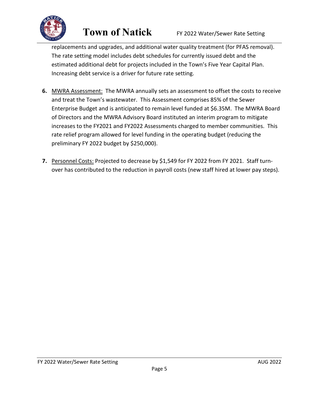

replacements and upgrades, and additional water quality treatment (for PFAS removal). The rate setting model includes debt schedules for currently issued debt and the estimated additional debt for projects included in the Town's Five Year Capital Plan. Increasing debt service is a driver for future rate setting.

- **6.** MWRA Assessment: The MWRA annually sets an assessment to offset the costs to receive and treat the Town's wastewater. This Assessment comprises 85% of the Sewer Enterprise Budget and is anticipated to remain level funded at \$6.35M. The MWRA Board of Directors and the MWRA Advisory Board instituted an interim program to mitigate increases to the FY2021 and FY2022 Assessments charged to member communities. This rate relief program allowed for level funding in the operating budget (reducing the preliminary FY 2022 budget by \$250,000).
- **7.** Personnel Costs: Projected to decrease by \$1,549 for FY 2022 from FY 2021. Staff turnover has contributed to the reduction in payroll costs (new staff hired at lower pay steps).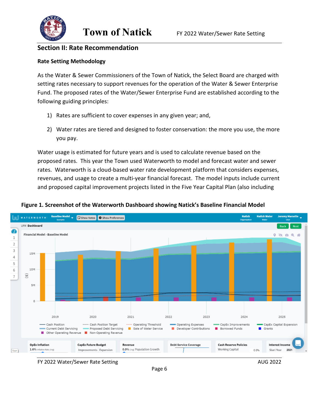

### **Section II: Rate Recommendation**

#### **Rate Setting Methodology**

As the Water & Sewer Commissioners of the Town of Natick, the Select Board are charged with setting rates necessary to support revenues for the operation of the Water & Sewer Enterprise Fund. The proposed rates of the Water/Sewer Enterprise Fund are established according to the following guiding principles:

- 1) Rates are sufficient to cover expenses in any given year; and,
- 2) Water rates are tiered and designed to foster conservation: the more you use, the more you pay.

Water usage is estimated for future years and is used to calculate revenue based on the proposed rates. This year the Town used Waterworth to model and forecast water and sewer rates. Waterworth is a cloud-based water rate development platform that considers expenses, revenues, and usage to create a multi-year financial forecast. The model inputs include current and proposed capital improvement projects listed in the Five Year Capital Plan (also including



#### **Figure 1. Screenshot of the Waterworth Dashboard showing Natick's Baseline Financial Model**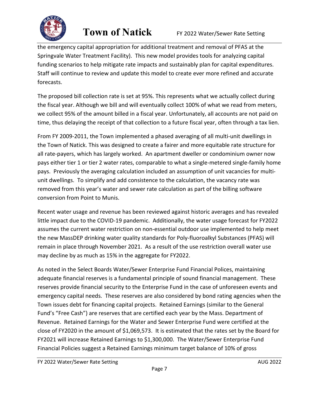

the emergency capital appropriation for additional treatment and removal of PFAS at the Springvale Water Treatment Facility). This new model provides tools for analyzing capital funding scenarios to help mitigate rate impacts and sustainably plan for capital expenditures. Staff will continue to review and update this model to create ever more refined and accurate forecasts.

The proposed bill collection rate is set at 95%. This represents what we actually collect during the fiscal year. Although we bill and will eventually collect 100% of what we read from meters, we collect 95% of the amount billed in a fiscal year. Unfortunately, all accounts are not paid on time, thus delaying the receipt of that collection to a future fiscal year, often through a tax lien.

From FY 2009-2011, the Town implemented a phased averaging of all multi-unit dwellings in the Town of Natick. This was designed to create a fairer and more equitable rate structure for all rate-payers, which has largely worked. An apartment dweller or condominium owner now pays either tier 1 or tier 2 water rates, comparable to what a single-metered single-family home pays. Previously the averaging calculation included an assumption of unit vacancies for multiunit dwellings. To simplify and add consistence to the calculation, the vacancy rate was removed from this year's water and sewer rate calculation as part of the billing software conversion from Point to Munis.

Recent water usage and revenue has been reviewed against historic averages and has revealed little impact due to the COVID-19 pandemic. Additionally, the water usage forecast for FY2022 assumes the current water restriction on non-essential outdoor use implemented to help meet the new MassDEP drinking water quality standards for Poly-fluoroalkyl Substances (PFAS) will remain in place through November 2021. As a result of the use restriction overall water use may decline by as much as 15% in the aggregate for FY2022.

As noted in the Select Boards Water/Sewer Enterprise Fund Financial Polices, maintaining adequate financial reserves is a fundamental principle of sound financial management. These reserves provide financial security to the Enterprise Fund in the case of unforeseen events and emergency capital needs. These reserves are also considered by bond rating agencies when the Town issues debt for financing capital projects. Retained Earnings (similar to the General Fund's "Free Cash") are reserves that are certified each year by the Mass. Department of Revenue. Retained Earnings for the Water and Sewer Enterprise Fund were certified at the close of FY2020 in the amount of \$1,069,573. It is estimated that the rates set by the Board for FY2021 will increase Retained Earnings to \$1,300,000. The Water/Sewer Enterprise Fund Financial Policies suggest a Retained Earnings minimum target balance of 10% of gross

FY 2022 Water/Sewer Rate Setting AUG 2022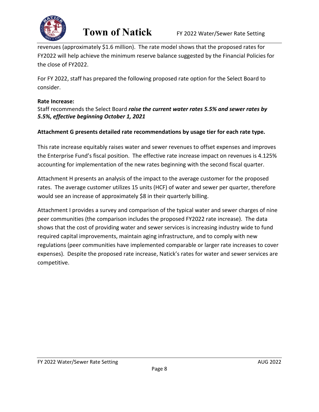

revenues (approximately \$1.6 million). The rate model shows that the proposed rates for FY2022 will help achieve the minimum reserve balance suggested by the Financial Policies for the close of FY2022.

For FY 2022, staff has prepared the following proposed rate option for the Select Board to consider.

### **Rate Increase:**

Staff recommends the Select Board *raise the current water rates 5.5% and sewer rates by 5.5%, effective beginning October 1, 2021*

### **Attachment G presents detailed rate recommendations by usage tier for each rate type.**

This rate increase equitably raises water and sewer revenues to offset expenses and improves the Enterprise Fund's fiscal position. The effective rate increase impact on revenues is 4.125% accounting for implementation of the new rates beginning with the second fiscal quarter.

Attachment H presents an analysis of the impact to the average customer for the proposed rates. The average customer utilizes 15 units (HCF) of water and sewer per quarter, therefore would see an increase of approximately \$8 in their quarterly billing.

Attachment I provides a survey and comparison of the typical water and sewer charges of nine peer communities (the comparison includes the proposed FY2022 rate increase). The data shows that the cost of providing water and sewer services is increasing industry wide to fund required capital improvements, maintain aging infrastructure, and to comply with new regulations (peer communities have implemented comparable or larger rate increases to cover expenses). Despite the proposed rate increase, Natick's rates for water and sewer services are competitive.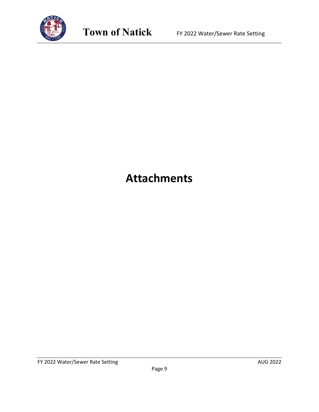

## **Attachments**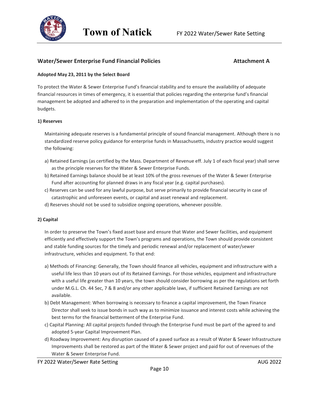

#### Water/Sewer Enterprise Fund Financial Policies **Attachment A**

#### **Adopted May 23, 2011 by the Select Board**

To protect the Water & Sewer Enterprise Fund's financial stability and to ensure the availability of adequate financial resources in times of emergency, it is essential that policies regarding the enterprise fund's financial management be adopted and adhered to in the preparation and implementation of the operating and capital budgets.

#### **1) Reserves**

Maintaining adequate reserves is a fundamental principle of sound financial management. Although there is no standardized reserve policy guidance for enterprise funds in Massachusetts, industry practice would suggest the following:

- a) Retained Earnings (as certified by the Mass. Department of Revenue eff. July 1 of each fiscal year) shall serve as the principle reserves for the Water & Sewer Enterprise Funds.
- b) Retained Earnings balance should be at least 10% of the gross revenues of the Water & Sewer Enterprise Fund after accounting for planned draws in any fiscal year (e.g. capital purchases).
- c) Reserves can be used for any lawful purpose, but serve primarily to provide financial security in case of catastrophic and unforeseen events, or capital and asset renewal and replacement.
- d) Reserves should not be used to subsidize ongoing operations, whenever possible.

#### **2) Capital**

In order to preserve the Town's fixed asset base and ensure that Water and Sewer facilities, and equipment efficiently and effectively support the Town's programs and operations, the Town should provide consistent and stable funding sources for the timely and periodic renewal and/or replacement of water/sewer infrastructure, vehicles and equipment. To that end:

- a) Methods of Financing: Generally, the Town should finance all vehicles, equipment and infrastructure with a useful life less than 10 years out of its Retained Earnings. For those vehicles, equipment and infrastructure with a useful life greater than 10 years, the town should consider borrowing as per the regulations set forth under M.G.L. Ch. 44 Sec, 7 & 8 and/or any other applicable laws, if sufficient Retained Earnings are not available.
- b) Debt Management: When borrowing is necessary to finance a capital improvement, the Town Finance Director shall seek to issue bonds in such way as to minimize issuance and interest costs while achieving the best terms for the financial betterment of the Enterprise Fund.
- c) Capital Planning: All capital projects funded through the Enterprise Fund must be part of the agreed to and adopted 5-year Capital Improvement Plan.
- d) Roadway Improvement: Any disruption caused of a paved surface as a result of Water & Sewer Infrastructure Improvements shall be restored as part of the Water & Sewer project and paid for out of revenues of the Water & Sewer Enterprise Fund.

FY 2022 Water/Sewer Rate Setting AUG 2022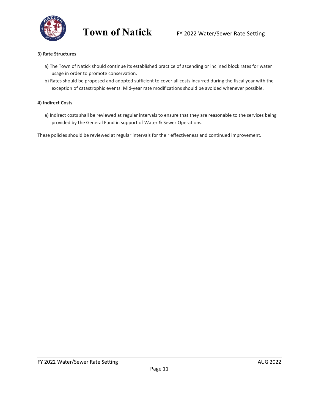

#### **3) Rate Structures**

- a) The Town of Natick should continue its established practice of ascending or inclined block rates for water usage in order to promote conservation.
- b) Rates should be proposed and adopted sufficient to cover all costs incurred during the fiscal year with the exception of catastrophic events. Mid-year rate modifications should be avoided whenever possible.

#### **4) Indirect Costs**

a) Indirect costs shall be reviewed at regular intervals to ensure that they are reasonable to the services being provided by the General Fund in support of Water & Sewer Operations.

These policies should be reviewed at regular intervals for their effectiveness and continued improvement.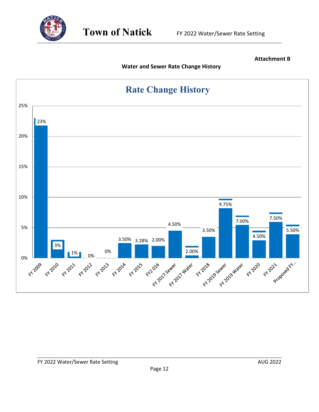

#### **Attachment B**

#### **Water and Sewer Rate Change History**

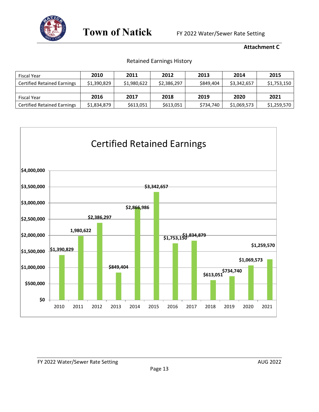

#### **Attachment C**

#### Retained Earnings History

| <b>Fiscal Year</b>                 | 2010        | 2011        | 2012        | 2013      | 2014        | 2015        |
|------------------------------------|-------------|-------------|-------------|-----------|-------------|-------------|
| <b>Certified Retained Earnings</b> | \$1,390,829 | \$1,980,622 | \$2,386,297 | \$849,404 | \$3,342,657 | \$1,753,150 |
|                                    |             |             |             |           |             |             |
| <b>Fiscal Year</b>                 | 2016        | 2017        | 2018        | 2019      | 2020        | 2021        |
| <b>Certified Retained Earnings</b> | \$1,834,879 | \$613,051   | \$613,051   | \$734,740 | \$1,069,573 | \$1,259,570 |

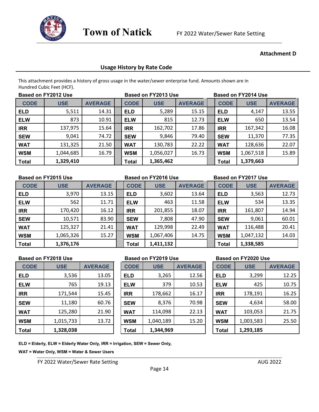

#### **Attachment D**

#### **Usage History by Rate Code**

This attachment provides a history of gross usage in the water/sewer enterprise fund. Amounts shown are in Hundred Cubic Feet (HCF).

| Based on FY2012 Use<br><b>Based on FY2013 Use</b> |            |                |              |            |                | <b>Based on FY2014 Use</b> |            |                |
|---------------------------------------------------|------------|----------------|--------------|------------|----------------|----------------------------|------------|----------------|
| <b>CODE</b>                                       | <b>USE</b> | <b>AVERAGE</b> | <b>CODE</b>  | <b>USE</b> | <b>AVERAGE</b> | <b>CODE</b>                | <b>USE</b> | <b>AVERAGE</b> |
| <b>ELD</b>                                        | 5,511      | 14.31          | <b>ELD</b>   | 5,289      | 15.15          | ELD                        | 4,147      | 13.55          |
| <b>ELW</b>                                        | 873        | 10.91          | <b>ELW</b>   | 815        | 12.73          | <b>ELW</b>                 | 650        | 13.54          |
| <b>IRR</b>                                        | 137,975    | 15.64          | <b>IRR</b>   | 162,702    | 17.86          | <b>IRR</b>                 | 167,342    | 16.08          |
| <b>SEW</b>                                        | 9,041      | 74.72          | <b>SEW</b>   | 9,846      | 79.40          | <b>SEW</b>                 | 11,370     | 77.35          |
| <b>WAT</b>                                        | 131,325    | 21.50          | <b>WAT</b>   | 130,783    | 22.22          | <b>WAT</b>                 | 128,636    | 22.07          |
| <b>WSM</b>                                        | 1,044,685  | 16.79          | <b>WSM</b>   | 1,056,027  | 16.73          | <b>WSM</b>                 | 1,067,518  | 15.89          |
| <b>Total</b>                                      | 1,329,410  |                | <b>Total</b> | 1,365,462  |                | <b>Total</b>               | 1,379,663  |                |

| <b>Based on FY2015 Use</b> |            |                | <b>Based on FY2016 Use</b> |              |            |                | <b>Based on FY2017 Use</b> |            |                |  |
|----------------------------|------------|----------------|----------------------------|--------------|------------|----------------|----------------------------|------------|----------------|--|
| <b>CODE</b>                | <b>USE</b> | <b>AVERAGE</b> |                            | <b>CODE</b>  | <b>USE</b> | <b>AVERAGE</b> | <b>CODE</b>                | <b>USE</b> | <b>AVERAGE</b> |  |
| <b>ELD</b>                 | 3,970      | 13.15          |                            | <b>ELD</b>   | 3,602      | 13.64          | <b>ELD</b>                 | 3,563      | 12.73          |  |
| <b>ELW</b>                 | 562        | 11.71          |                            | <b>ELW</b>   | 463        | 11.58          | <b>ELW</b>                 | 534        | 13.35          |  |
| <b>IRR</b>                 | 170,420    | 16.12          |                            | <b>IRR</b>   | 201,855    | 18.07          | <b>IRR</b>                 | 161,807    | 14.94          |  |
| <b>SEW</b>                 | 10,571     | 83.90          |                            | <b>SEW</b>   | 7,808      | 47.90          | <b>SEW</b>                 | 9,061      | 60.01          |  |
| <b>WAT</b>                 | 125,327    | 21.41          |                            | <b>WAT</b>   | 129,998    | 22.49          | <b>WAT</b>                 | 116,488    | 20.41          |  |
| <b>WSM</b>                 | 1,065,326  | 15.27          |                            | <b>WSM</b>   | 1,067,406  | 14.75          | <b>WSM</b>                 | 1,047,132  | 14.03          |  |
| <b>Total</b>               | 1,376,176  |                |                            | <b>Total</b> | 1,411,132  |                | <b>Total</b>               | 1,338,585  |                |  |

| <b>CODE</b>  | <b>USE</b> | <b>AVERAGE</b> | <b>CODE</b>  | <b>USE</b> | <b>AVERAGE</b> | <b>CODE</b> | <b>USE</b> | <b>AVERAGE</b> |
|--------------|------------|----------------|--------------|------------|----------------|-------------|------------|----------------|
| <b>ELD</b>   | 3,536      | 13.05          | <b>ELD</b>   | 3,265      | 12.56          | <b>ELD</b>  | 3,299      | 12.25          |
| <b>ELW</b>   | 765        | 19.13          | <b>ELW</b>   | 379        | 10.53          | <b>ELW</b>  | 425        | 10.75          |
| <b>IRR</b>   | 171,544    | 15.45          | <b>IRR</b>   | 178,662    | 16.17          | <b>IRR</b>  | 178,191    | 16.25          |
| <b>SEW</b>   | 11,180     | 60.76          | <b>SEW</b>   | 8,376      | 70.98          | <b>SEW</b>  | 4,634      | 58.00          |
| <b>WAT</b>   | 125,280    | 21.90          | <b>WAT</b>   | 114,098    | 22.13          | <b>WAT</b>  | 103,053    | 21.75          |
| <b>WSM</b>   | 1,015,733  | 13.72          | <b>WSM</b>   | 1,040,189  | 15.20          | <b>WSM</b>  | 1,003,583  | 25.50          |
| <b>Total</b> | 1,328,038  |                | <b>Total</b> | 1,344,969  |                | Total       | 1,293,185  |                |

#### **Based on FY2018 Use Based on FY2019 Use Based on FY2020 Use**

| <b>CODE</b> | <b>USE</b> | <b>AVERAGE</b> |
|-------------|------------|----------------|
| <b>ELD</b>  | 3,265      | 12.56          |
| <b>ELW</b>  | 379        | 10.53          |
| <b>IRR</b>  | 178,662    | 16.17          |
| <b>SEW</b>  | 8,376      | 70.98          |
| <b>WAT</b>  | 114,098    | 22.13          |
| <b>WSM</b>  | 1,040,189  | 15.20          |
| Total       | 1,344,969  |                |

| <b>CODE</b>  | <b>USE</b> | <b>AVERAGE</b> |
|--------------|------------|----------------|
| <b>ELD</b>   | 3,299      | 12.25          |
| <b>ELW</b>   | 425        | 10.75          |
| <b>IRR</b>   | 178,191    | 16.25          |
| <b>SEW</b>   | 4,634      | 58.00          |
| <b>WAT</b>   | 103,053    | 21.75          |
| <b>WSM</b>   | 1,003,583  | 25.50          |
| <b>Total</b> | 1,293,185  |                |

**ELD = Elderly, ELW = Elderly Water Only, IRR = Irrigation, SEW = Sewer Only,**

**WAT = Water Only, WSM = Water & Sewer Users**

FY 2022 Water/Sewer Rate Setting and the state of the state of the AUG 2022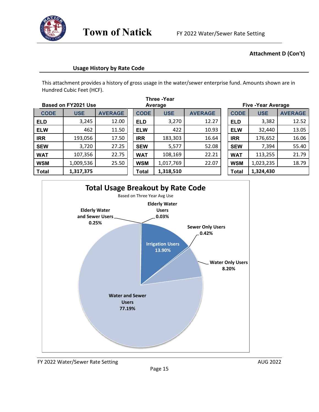

### **Attachment D (Con't)**

#### **Usage History by Rate Code**

This attachment provides a history of gross usage in the water/sewer enterprise fund. Amounts shown are in Hundred Cubic Feet (HCF).

|              |                     |                |         |             | Three -Year |                |                           |            |                |  |
|--------------|---------------------|----------------|---------|-------------|-------------|----------------|---------------------------|------------|----------------|--|
|              | Based on FY2021 Use |                | Average |             |             |                | <b>Five -Year Average</b> |            |                |  |
| <b>CODE</b>  | <b>USE</b>          | <b>AVERAGE</b> |         | <b>CODE</b> | <b>USE</b>  | <b>AVERAGE</b> | <b>CODE</b>               | <b>USE</b> | <b>AVERAGE</b> |  |
| <b>ELD</b>   | 3,245               | 12.00          |         | <b>ELD</b>  | 3,270       | 12.27          | <b>ELD</b>                | 3,382      | 12.52          |  |
| <b>ELW</b>   | 462                 | 11.50          |         | <b>ELW</b>  | 422         | 10.93          | <b>ELW</b>                | 32,440     | 13.05          |  |
| <b>IRR</b>   | 193,056             | 17.50          |         | <b>IRR</b>  | 183,303     | 16.64          | <b>IRR</b>                | 176,652    | 16.06          |  |
| <b>SEW</b>   | 3,720               | 27.25          |         | <b>SEW</b>  | 5,577       | 52.08          | <b>SEW</b>                | 7,394      | 55.40          |  |
| <b>WAT</b>   | 107,356             | 22.75          |         | <b>WAT</b>  | 108,169     | 22.21          | <b>WAT</b>                | 113,255    | 21.79          |  |
| <b>WSM</b>   | 1,009,536           | 25.50          |         | <b>WSM</b>  | 1,017,769   | 22.07          | <b>WSM</b>                | 1,023,235  | 18.79          |  |
| <b>Total</b> | 1,317,375           |                |         | Total       | 1,318,510   |                | Total                     | 1,324,430  |                |  |

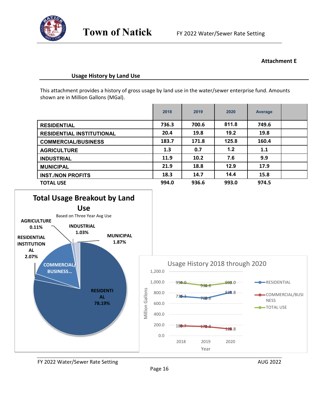

#### **Attachment E**

#### **Usage History by Land Use**

This attachment provides a history of gross usage by land use in the water/sewer enterprise fund. Amounts shown are in Million Gallons (MGal).

|                                  | 2018  | 2019  | 2020  | Average |  |
|----------------------------------|-------|-------|-------|---------|--|
| <b>RESIDENTIAL</b>               | 736.3 | 700.6 | 811.8 | 749.6   |  |
| <b>RESIDENTIAL INSTITUTIONAL</b> | 20.4  | 19.8  | 19.2  | 19.8    |  |
| <b>COMMERCIAL/BUSINESS</b>       | 183.7 | 171.8 | 125.8 | 160.4   |  |
| <b>AGRICULTURE</b>               | 1.3   | 0.7   | 1.2   | 1.1     |  |
| <b>INDUSTRIAL</b>                | 11.9  | 10.2  | 7.6   | 9.9     |  |
| <b>MUNICIPAL</b>                 | 21.9  | 18.8  | 12.9  | 17.9    |  |
| <b>INST./NON PROFITS</b>         | 18.3  | 14.7  | 14.4  | 15.8    |  |
| <b>TOTAL USE</b>                 | 994.0 | 936.6 | 993.0 | 974.5   |  |

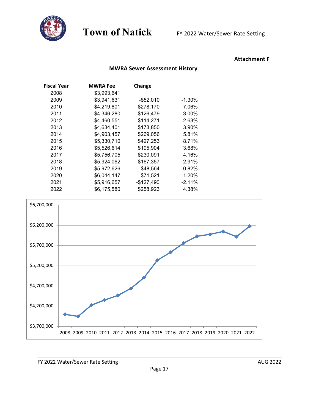

#### **Attachment F**

| <b>Fiscal Year</b> | <b>MWRA Fee</b> | Change       |          |  |
|--------------------|-----------------|--------------|----------|--|
| 2008               | \$3,993,641     |              |          |  |
| 2009               | \$3,941,631     | $-$ \$52,010 | $-1.30%$ |  |
| 2010               | \$4,219,801     | \$278,170    | 7.06%    |  |
| 2011               | \$4,346,280     | \$126,479    | 3.00%    |  |
| 2012               | \$4,460,551     | \$114,271    | 2.63%    |  |
| 2013               | \$4,634,401     | \$173,850    | 3.90%    |  |
| 2014               | \$4,903,457     | \$269,056    | 5.81%    |  |
| 2015               | \$5,330,710     | \$427,253    | 8.71%    |  |
| 2016               | \$5,526,614     | \$195,904    | 3.68%    |  |
| 2017               | \$5,756,705     | \$230,091    | 4.16%    |  |
| 2018               | \$5,924,062     | \$167,357    | 2.91%    |  |
| 2019               | \$5,972,626     | \$48,564     | 0.82%    |  |
| 2020               | \$6,044,147     | \$71,521     | 1.20%    |  |
| 2021               | \$5,916,657     | $-$127,490$  | $-2.11%$ |  |
| 2022               | \$6,175,580     | \$258,923    | 4.38%    |  |
| \$6,700,000        |                 |              |          |  |

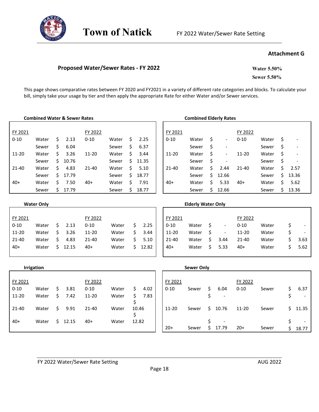

#### **Attachment G**

#### **Proposed Water/Sewer Rates - FY 2022 Water 5.50%**

**Sewer 5.50%**

This page shows comparative rates between FY 2020 and FY2021 in a variety of different rate categories and blocks. To calculate your bill, simply take your usage by tier and then apply the appropriate Rate for either Water and/or Sewer services.

|           | <b>Combined Water &amp; Sewer Rates</b> |    |       |           |       |     |            |           | <b>Combined Elderly Rates</b> |     |                          |           |       |    |                          |  |
|-----------|-----------------------------------------|----|-------|-----------|-------|-----|------------|-----------|-------------------------------|-----|--------------------------|-----------|-------|----|--------------------------|--|
| FY 2021   |                                         |    |       | FY 2022   |       |     |            | FY 2021   |                               |     |                          | FY 2022   |       |    |                          |  |
| $0 - 10$  | Water                                   | Ś. | 2.13  | $0 - 10$  | Water | Ś.  | 2.25       | $0 - 10$  | Water                         | \$  | $\overline{\phantom{a}}$ | $0 - 10$  | Water | \$ | $\overline{\phantom{a}}$ |  |
|           | Sewer                                   | Ś. | 6.04  |           | Sewer | \$  | 6.37       |           | Sewer                         | \$  | $\overline{\phantom{a}}$ |           | Sewer | \$ | $\overline{\phantom{a}}$ |  |
| $11 - 20$ | Water                                   | Ś. | 3.26  | $11 - 20$ | Water | Ś.  | 3.44       | $11 - 20$ | Water                         | \$  | $\overline{\phantom{a}}$ | $11 - 20$ | Water | \$ | $\overline{\phantom{a}}$ |  |
|           | Sewer                                   | Ś  | 10.76 |           | Sewer | Ś.  | 11.35      |           | Sewer                         | \$  |                          |           | Sewer | \$ | $\overline{\phantom{a}}$ |  |
| $21 - 40$ | Water                                   | Ś. | 4.83  | $21 - 40$ | Water | \$. | 5.10       | $21 - 40$ | Water                         | \$  | 2.44                     | $21 - 40$ | Water | \$ | 2.57                     |  |
|           | Sewer                                   | Ś  | 17.79 |           | Sewer | Ś.  | 18.77      |           | Sewer                         | Ś.  | 12.66                    |           | Sewer | Ś. | 13.36                    |  |
| $40+$     | Water                                   | Ś. | 7.50  | $40+$     | Water | Ś.  | 7.91       | $40+$     | Water                         | \$. | 5.33                     | $40+$     | Water | \$ | 5.62                     |  |
|           | Sewer                                   | Ś  | 17.79 |           | Sewer | Ś.  | 18.77      |           | Sewer                         | Ś.  | 12.66                    |           | Sewer | \$ | 13.36                    |  |
|           |                                         |    |       |           |       |     |            |           |                               |     |                          |           |       |    |                          |  |
|           | <b>Water Only</b>                       |    |       |           |       |     |            |           | <b>Elderly Water Only</b>     |     |                          |           |       |    |                          |  |
| FY 2021   |                                         |    |       | FY 2022   |       |     |            | FY 2021   |                               |     |                          | FY 2022   |       |    |                          |  |
| $0 - 10$  | Water                                   | \$ | 2.13  | $0 - 10$  | Water |     | \$<br>2.25 | $0 - 10$  | Water                         | \$  | $\overline{\phantom{a}}$ | $0 - 10$  | Water |    | \$                       |  |

|  |  |  |  |  |  |  | Water \$ 2.13 0-10 Water \$ 2.25   0-10 Water \$ - 0-10 Water \$ -<br>11-20 Water \$ 3.26 11-20 Water \$ 3.44 11-20 Water \$ - 11-20 Water \$ -<br>21-40 Water \$ 4.83 21-40 Water \$ 5.10   21-40 Water \$ 3.44 21-40 Water \$ 3.63 |
|--|--|--|--|--|--|--|--------------------------------------------------------------------------------------------------------------------------------------------------------------------------------------------------------------------------------------|

#### **Irrigation**

| FY 2021  |       |     |         | FY 2022  |       |       |      | FY 2021         |       |         | FY 2022  |       |                          |
|----------|-------|-----|---------|----------|-------|-------|------|-----------------|-------|---------|----------|-------|--------------------------|
| $0 - 10$ | Water |     | 3.81    | $0 - 10$ | Water |       | 4.02 | $0 - 10$        | Sewer | 6.04    | $0 - 10$ | Sewer | 6.37                     |
| 11-20    | Water | \$. | 7.42    | 11-20    | Water |       | 7.83 |                 |       |         |          |       | $\overline{\phantom{a}}$ |
| 21-40    | Water |     | \$9.91  | 21-40    | Water |       |      | $10.46$   11-20 | Sewer | \$10.76 | 11-20    | Sewer | \$11.35                  |
| $40+$    | Water |     | \$12.15 | 40+      | Water | 12.82 |      |                 |       |         |          |       |                          |
|          |       |     |         |          |       |       |      | $20+$           | Sewer | 17.79   | $20+$    | Sewer | 18.77                    |

| 40+      | water             |    | 5 12.15 | 40+       | water | $\mathcal{P}$ | 12.82 | 40+      | water             | S | 5.33  | 40+       | water | 5.62  |
|----------|-------------------|----|---------|-----------|-------|---------------|-------|----------|-------------------|---|-------|-----------|-------|-------|
|          | <b>Irrigation</b> |    |         |           |       |               |       |          | <b>Sewer Only</b> |   |       |           |       |       |
| FY 2021  |                   |    |         | FY 2022   |       |               |       | FY 2021  |                   |   |       | FY 2022   |       |       |
| $0 - 10$ | Water             | \$ | 3.81    | $0 - 10$  | Water | \$            | 4.02  | $0 - 10$ | Sewer             | Ś | 6.04  | $0 - 10$  | Sewer | 6.37  |
| 11-20    | Water             | S. | 7.42    | 11-20     | Water | Ś.            | 7.83  |          |                   |   | -     |           |       |       |
| 21-40    | Water             |    | 9.91    | $21 - 40$ | Water | 10.46         |       | 11-20    | Sewer             |   | 10.76 | $11 - 20$ | Sewer | 11.35 |

20+ Sewer \$ 17.79 20+ Sewer \$ 18.77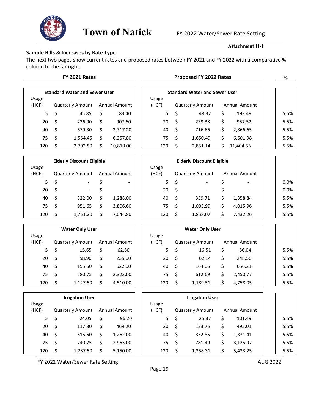

#### **Attachment H-1**

#### **Sample Bills & Increases by Rate Type**

The next two pages show current rates and proposed rates between FY 2021 and FY 2022 with a comparative % column to the far right.

|                |     | FY 2021 Rates                        |    |               |                |    | Proposed FY 2022 Rates               |    |                      | $\frac{0}{0}$ |
|----------------|-----|--------------------------------------|----|---------------|----------------|----|--------------------------------------|----|----------------------|---------------|
|                |     | <b>Standard Water and Sewer User</b> |    |               |                |    | <b>Standard Water and Sewer User</b> |    |                      |               |
| Usage<br>(HCF) |     | <b>Quarterly Amount</b>              |    | Annual Amount | Usage<br>(HCF) |    | <b>Quarterly Amount</b>              |    | <b>Annual Amount</b> |               |
| 5              | S   | 45.85                                | \$ | 183.40        | 5              | S  | 48.37                                | Ś  | 193.49               | 5.5%          |
| 20             | S   | 226.90                               | \$ | 907.60        | 20             | S  | 239.38                               | \$ | 957.52               | 5.5%          |
| 40             | S   | 679.30                               | \$ | 2,717.20      | 40             | S  | 716.66                               | \$ | 2,866.65             | 5.5%          |
| 75             | \$. | 1,564.45                             | Ś. | 6,257.80      | 75             | \$ | 1,650.49                             | \$ | 6,601.98             | 5.5%          |
| 120            |     | 2,702.50                             |    | 10,810.00     | 120            |    | 2,851.14                             |    | 11,404.55            | 5.5%          |

|                |   | <b>Elderly Discount Eligible</b> |                          |                |    | <b>Elderly Discount Eligible</b> |    |
|----------------|---|----------------------------------|--------------------------|----------------|----|----------------------------------|----|
| Usage<br>(HCF) |   | <b>Quarterly Amount</b>          | <b>Annual Amount</b>     | Usage<br>(HCF) |    | <b>Quarterly Amount</b>          | Ar |
| 5.             |   | -                                | -                        | 5              | .S |                                  |    |
| 20             | S |                                  | $\overline{\phantom{a}}$ | 20             | S  |                                  | S  |
| 40             | Ś | 322.00                           | \$<br>1,288.00           | 40             | \$ | 339.71                           | \$ |
| 75             |   | 951.65                           | \$<br>3,806.60           | 75             | \$ | 1,003.99                         | \$ |
| 120            | S | 1,761.20                         | \$<br>7,044.80           | 120            | Ś  | 1,858.07                         |    |

|                |    | <b>Water Only User</b>  |                      |                |    | <b>Water Only User</b>  |
|----------------|----|-------------------------|----------------------|----------------|----|-------------------------|
| Usage<br>(HCF) |    | <b>Quarterly Amount</b> | <b>Annual Amount</b> | Usage<br>(HCF) |    | <b>Quarterly Amount</b> |
| 5.             | \$ | 15.65                   | \$<br>62.60          | 5              | \$ | 16.51                   |
| 20             | Ś  | 58.90                   | \$<br>235.60         | 20             | \$ | 62.14                   |
| 40             | Ś  | 155.50                  | \$<br>622.00         | 40             | \$ | 164.05                  |
| 75             | Ś  | 580.75                  | \$<br>2,323.00       | 75             | \$ | 612.69                  |
| 120            |    | 1.127.50                | \$<br>4.510.00       | 120            | Ś  | 1,189.51                |

|                | <b>Irrigation User</b>  |                      |                |     | <b>Irrigation User</b>  |
|----------------|-------------------------|----------------------|----------------|-----|-------------------------|
| Usage<br>(HCF) | <b>Quarterly Amount</b> | <b>Annual Amount</b> | Usage<br>(HCF) |     | <b>Quarterly Amount</b> |
| 5              | \$<br>24.05             | \$<br>96.20          | 5              | S   | 25.37                   |
| 20             | \$<br>117.30            | \$<br>469.20         | 20             | \$  | 123.75                  |
| 40             | \$<br>315.50            | \$<br>1,262.00       | 40             | \$  | 332.85                  |
| 75             | \$<br>740.75            | \$<br>2,963.00       | 75             | -\$ | 781.49                  |
| 120            | \$<br>1,287.50          | \$<br>5,150.00       | 120            | \$  | 1,358.31                |

|       |     | <b>Elderly Discount Eligible</b> |    |                          |                |     | <b>Elderly Discount Eligible</b> |   |                      |         |
|-------|-----|----------------------------------|----|--------------------------|----------------|-----|----------------------------------|---|----------------------|---------|
| ŗe.   |     | <b>Quarterly Amount</b>          |    | Annual Amount            | Usage<br>(HCF) |     | <b>Quarterly Amount</b>          |   | <b>Annual Amount</b> |         |
| $5 -$ | - S | $\overline{\phantom{a}}$         |    | $\overline{\phantom{0}}$ | 5.             | \$. | $\overline{\phantom{0}}$         |   |                      | $0.0\%$ |
| 20    | \$. | $\overline{\phantom{0}}$         |    |                          | 20             | - S | $\overline{\phantom{0}}$         |   |                      | $0.0\%$ |
| 40    | .S  | 322.00                           | S. | 1,288.00                 | 40             | - S | 339.71                           | Ś | 1,358.84             | 5.5%    |
| 75    | \$. | 951.65                           |    | 3,806.60                 | 75             | S.  | 1,003.99                         | S | 4,015.96             | 5.5%    |
| 120   | .S  | 1,761.20                         |    | 7,044.80                 | 120            | Ś   | 1,858.07                         | Ś | 7,432.26             | 5.5%    |

|     |     | <b>Water Only User</b>  |                      |                |     | <b>Water Only User</b>  |   |                      |      |
|-----|-----|-------------------------|----------------------|----------------|-----|-------------------------|---|----------------------|------|
| ë,  |     | <b>Quarterly Amount</b> | <b>Annual Amount</b> | Usage<br>(HCF) |     | <b>Quarterly Amount</b> |   | <b>Annual Amount</b> |      |
| 5   | S   | 15.65                   | 62.60                | 5              | S   | 16.51                   |   | 66.04                | 5.5% |
| 20  | S   | 58.90                   | 235.60               | 20             | -\$ | 62.14                   | Ś | 248.56               | 5.5% |
| 40  | -\$ | 155.50                  | 622.00               | 40             | \$  | 164.05                  |   | 656.21               | 5.5% |
| 75  | S   | 580.75                  | 2,323.00             | 75             | -\$ | 612.69                  |   | 2,450.77             | 5.5% |
| 120 |     | 1,127.50                | 4,510.00             | 120            | Ś   | 1,189.51                |   | 4,758.05             | 5.5% |

|     |    | <b>Irrigation User</b>  |                      |                |    | <b>Irrigation User</b>  |                      |      |
|-----|----|-------------------------|----------------------|----------------|----|-------------------------|----------------------|------|
| ŗe  |    | <b>Quarterly Amount</b> | <b>Annual Amount</b> | Usage<br>(HCF) |    | <b>Quarterly Amount</b> | <b>Annual Amount</b> |      |
| 5   | Ś  | 24.05                   | 96.20                | 5.             | S  | 25.37                   | 101.49               | 5.5% |
| 20  | S  | 117.30                  | 469.20               | 20             | .S | 123.75                  | 495.01               | 5.5% |
| 40  | \$ | 315.50                  | 1,262.00             | 40             | -S | 332.85                  | 1,331.41             | 5.5% |
| 75  | S  | 740.75                  | 2.963.00             | 75             | .S | 781.49                  | 3,125.97             | 5.5% |
| 120 | Ś  | 1,287.50                | 5,150.00             | 120            | Ś  | 1,358.31                | 5,433.25             | 5.5% |

FY 2022 Water/Sewer Rate Setting and the state of the state of the AUG 2022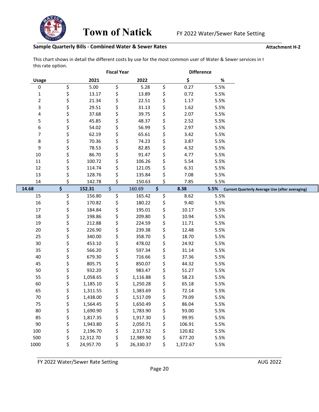

#### **Sample Quarterly Bills - Combined Water & Sewer Rates Attachment H-2 Attachment H-2**

This chart shows in detail the different costs by use for the most common user of Water & Sewer services in t this rate option.

|                  |                 | <b>Fiscal Year</b> |           | <b>Difference</b> |      |                                                        |
|------------------|-----------------|--------------------|-----------|-------------------|------|--------------------------------------------------------|
| <b>Usage</b>     | 2021            |                    | 2022      | \$                | $\%$ |                                                        |
| 0                | \$<br>5.00      | \$                 | 5.28      | \$<br>0.27        | 5.5% |                                                        |
| $\mathbf 1$      | \$<br>13.17     | \$                 | 13.89     | \$<br>0.72        | 5.5% |                                                        |
| $\mathbf 2$      | \$<br>21.34     | \$                 | 22.51     | \$<br>1.17        | 5.5% |                                                        |
| 3                | \$<br>29.51     | \$                 | 31.13     | \$<br>1.62        | 5.5% |                                                        |
| 4                | \$<br>37.68     | \$                 | 39.75     | \$<br>2.07        | 5.5% |                                                        |
| 5                | \$<br>45.85     | \$                 | 48.37     | \$<br>2.52        | 5.5% |                                                        |
| 6                | \$<br>54.02     | \$                 | 56.99     | \$<br>2.97        | 5.5% |                                                        |
| $\boldsymbol{7}$ | \$<br>62.19     | \$                 | 65.61     | \$<br>3.42        | 5.5% |                                                        |
| 8                | \$<br>70.36     | \$                 | 74.23     | \$<br>3.87        | 5.5% |                                                        |
| 9                | \$<br>78.53     | \$                 | 82.85     | \$<br>4.32        | 5.5% |                                                        |
| $10\,$           | \$<br>86.70     | \$                 | 91.47     | \$<br>4.77        | 5.5% |                                                        |
| $11\,$           | \$<br>100.72    | \$                 | 106.26    | \$<br>5.54        | 5.5% |                                                        |
| 12               | \$<br>114.74    | \$                 | 121.05    | \$<br>6.31        | 5.5% |                                                        |
| 13               | \$<br>128.76    | \$                 | 135.84    | \$<br>7.08        | 5.5% |                                                        |
| 14               | \$<br>142.78    | \$                 | 150.63    | \$<br>7.85        | 5.5% |                                                        |
| 14.68            | \$<br>152.31    | \$                 | 160.69    | \$<br>8.38        | 5.5% | <b>Current Quarterly Average Use (after averaging)</b> |
| 15               | \$<br>156.80    | \$                 | 165.42    | \$<br>8.62        | 5.5% |                                                        |
| 16               | \$<br>170.82    | \$                 | 180.22    | \$<br>9.40        | 5.5% |                                                        |
| 17               | \$<br>184.84    | \$                 | 195.01    | \$<br>10.17       | 5.5% |                                                        |
| 18               | \$<br>198.86    | \$                 | 209.80    | \$<br>10.94       | 5.5% |                                                        |
| 19               | \$<br>212.88    | \$                 | 224.59    | \$<br>11.71       | 5.5% |                                                        |
| 20               | \$<br>226.90    | \$                 | 239.38    | \$<br>12.48       | 5.5% |                                                        |
| 25               | \$<br>340.00    | \$                 | 358.70    | \$<br>18.70       | 5.5% |                                                        |
| 30               | \$<br>453.10    | \$                 | 478.02    | \$<br>24.92       | 5.5% |                                                        |
| 35               | \$<br>566.20    | \$                 | 597.34    | \$<br>31.14       | 5.5% |                                                        |
| 40               | \$<br>679.30    | \$                 | 716.66    | \$<br>37.36       | 5.5% |                                                        |
| 45               | \$<br>805.75    | \$                 | 850.07    | \$<br>44.32       | 5.5% |                                                        |
| 50               | \$<br>932.20    | \$                 | 983.47    | \$<br>51.27       | 5.5% |                                                        |
| 55               | \$<br>1,058.65  | \$                 | 1,116.88  | \$<br>58.23       | 5.5% |                                                        |
| 60               | \$<br>1,185.10  | \$                 | 1,250.28  | \$<br>65.18       | 5.5% |                                                        |
| 65               | \$<br>1,311.55  | \$                 | 1,383.69  | \$<br>72.14       | 5.5% |                                                        |
| 70               | \$<br>1,438.00  | \$                 | 1,517.09  | \$<br>79.09       | 5.5% |                                                        |
| 75               | \$<br>1,564.45  | \$                 | 1,650.49  | \$<br>86.04       | 5.5% |                                                        |
| 80               | \$<br>1,690.90  | \$                 | 1,783.90  | \$<br>93.00       | 5.5% |                                                        |
| 85               | \$<br>1,817.35  | \$                 | 1,917.30  | \$<br>99.95       | 5.5% |                                                        |
| 90               | \$<br>1,943.80  | \$                 | 2,050.71  | \$<br>106.91      | 5.5% |                                                        |
| 100              | \$<br>2,196.70  | \$                 | 2,317.52  | \$<br>120.82      | 5.5% |                                                        |
| 500              | \$<br>12,312.70 | \$                 | 12,989.90 | \$<br>677.20      | 5.5% |                                                        |
| 1000             | \$<br>24,957.70 | \$                 | 26,330.37 | \$<br>1,372.67    | 5.5% |                                                        |

FY 2022 Water/Sewer Rate Setting and the state of the state of the AUG 2022